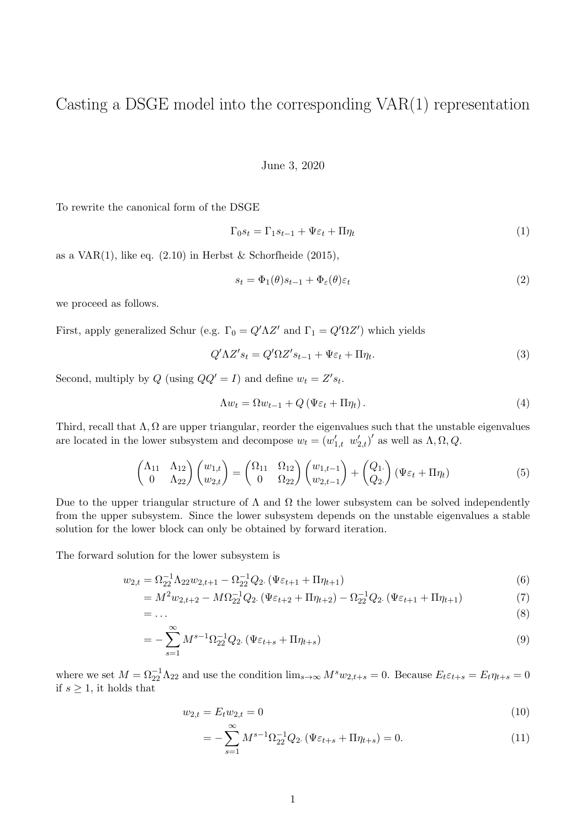## Casting a DSGE model into the corresponding VAR(1) representation

## June 3, 2020

To rewrite the canonical form of the DSGE

$$
\Gamma_0 s_t = \Gamma_1 s_{t-1} + \Psi \varepsilon_t + \Pi \eta_t \tag{1}
$$

as a VAR $(1)$ , like eq.  $(2.10)$  in Herbst & Schorfheide  $(2015)$ ,

$$
s_t = \Phi_1(\theta)s_{t-1} + \Phi_{\varepsilon}(\theta)\varepsilon_t \tag{2}
$$

we proceed as follows.

First, apply generalized Schur (e.g.  $\Gamma_0 = Q'\Lambda Z'$  and  $\Gamma_1 = Q'\Omega Z'$ ) which yields

$$
Q'\Lambda Z's_t = Q'\Omega Z's_{t-1} + \Psi \varepsilon_t + \Pi \eta_t.
$$
\n(3)

Second, multiply by  $Q$  (using  $QQ' = I$ ) and define  $w_t = Z's_t$ .

$$
\Lambda w_t = \Omega w_{t-1} + Q \left( \Psi \varepsilon_t + \Pi \eta_t \right). \tag{4}
$$

Third, recall that  $\Lambda$ ,  $\Omega$  are upper triangular, reorder the eigenvalues such that the unstable eigenvalues are located in the lower subsystem and decompose  $w_t = (w'_{1,t}, w'_{2,t})'$  as well as  $\Lambda, \Omega, Q$ .

$$
\begin{pmatrix}\n\Lambda_{11} & \Lambda_{12} \\
0 & \Lambda_{22}\n\end{pmatrix}\n\begin{pmatrix}\nw_{1,t} \\
w_{2,t}\n\end{pmatrix} =\n\begin{pmatrix}\n\Omega_{11} & \Omega_{12} \\
0 & \Omega_{22}\n\end{pmatrix}\n\begin{pmatrix}\nw_{1,t-1} \\
w_{2,t-1}\n\end{pmatrix} +\n\begin{pmatrix}\nQ_1 \\
Q_2\n\end{pmatrix}\n(\Psi\varepsilon_t + \Pi\eta_t)
$$
\n(5)

Due to the upper triangular structure of  $\Lambda$  and  $\Omega$  the lower subsystem can be solved independently from the upper subsystem. Since the lower subsystem depends on the unstable eigenvalues a stable solution for the lower block can only be obtained by forward iteration.

The forward solution for the lower subsystem is

$$
w_{2,t} = \Omega_{22}^{-1} \Lambda_{22} w_{2,t+1} - \Omega_{22}^{-1} Q_{2} \left( \Psi \varepsilon_{t+1} + \Pi \eta_{t+1} \right) \tag{6}
$$

$$
=M^{2}w_{2,t+2}-M\Omega_{22}^{-1}Q_{2}.\left(\Psi\varepsilon_{t+2}+\Pi\eta_{t+2}\right)-\Omega_{22}^{-1}Q_{2}.\left(\Psi\varepsilon_{t+1}+\Pi\eta_{t+1}\right) \tag{7}
$$

$$
= \dots \tag{8}
$$

$$
= -\sum_{s=1}^{\infty} M^{s-1} \Omega_{22}^{-1} Q_2 \left( \Psi \varepsilon_{t+s} + \Pi \eta_{t+s} \right) \tag{9}
$$

where we set  $M = \Omega_{22}^{-1} \Lambda_{22}$  and use the condition  $\lim_{s \to \infty} M^s w_{2,t+s} = 0$ . Because  $E_t \varepsilon_{t+s} = E_t \eta_{t+s} = 0$ if  $s \geq 1$ , it holds that

$$
w_{2,t} = E_t w_{2,t} = 0 \tag{10}
$$

$$
= -\sum_{s=1}^{\infty} M^{s-1} \Omega_{22}^{-1} Q_2 \left( \Psi \varepsilon_{t+s} + \Pi \eta_{t+s} \right) = 0. \tag{11}
$$